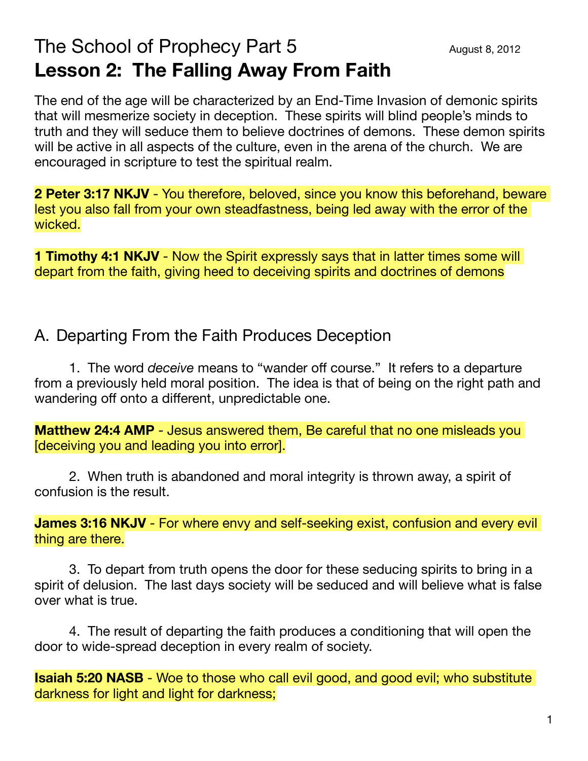## The School of Prophecy Part  $5$   $\qquad \qquad \text{August 8, 2012}$ **Lesson 2: The Falling Away From Faith**

The end of the age will be characterized by an End-Time Invasion of demonic spirits that will mesmerize society in deception. These spirits will blind people's minds to truth and they will seduce them to believe doctrines of demons. These demon spirits will be active in all aspects of the culture, even in the arena of the church. We are encouraged in scripture to test the spiritual realm.

**2 Peter 3:17 NKJV** - You therefore, beloved, since you know this beforehand, beware lest you also fall from your own steadfastness, being led away with the error of the wicked.

**1 Timothy 4:1 NKJV** - Now the Spirit expressly says that in latter times some will depart from the faith, giving heed to deceiving spirits and doctrines of demons

## A. Departing From the Faith Produces Deception

1. The word *deceive* means to "wander off course." It refers to a departure from a previously held moral position. The idea is that of being on the right path and wandering off onto a different, unpredictable one.

**Matthew 24:4 AMP** - Jesus answered them, Be careful that no one misleads you [deceiving you and leading you into error].

2. When truth is abandoned and moral integrity is thrown away, a spirit of confusion is the result.

**James 3:16 NKJV** - For where envy and self-seeking exist, confusion and every evil thing are there.

3. To depart from truth opens the door for these seducing spirits to bring in a spirit of delusion. The last days society will be seduced and will believe what is false over what is true.

4. The result of departing the faith produces a conditioning that will open the door to wide-spread deception in every realm of society.

**Isaiah 5:20 NASB** - Woe to those who call evil good, and good evil; who substitute darkness for light and light for darkness;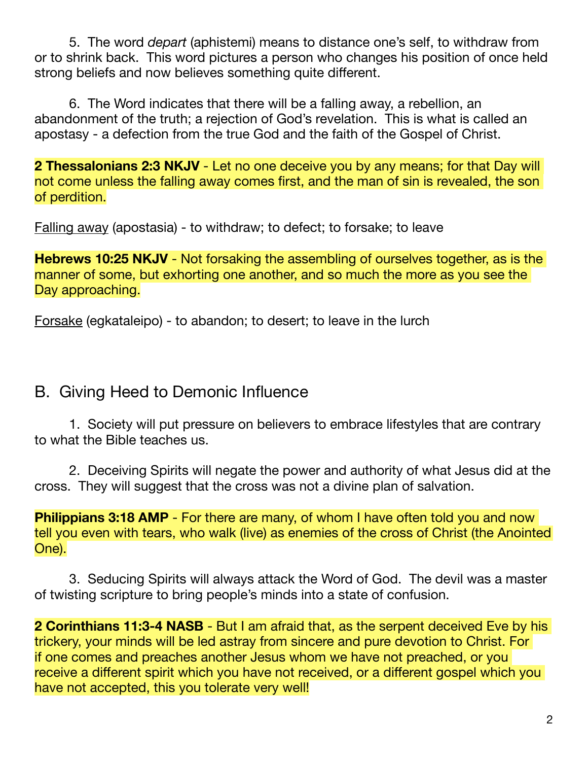5. The word *depart* (aphistemi) means to distance one's self, to withdraw from or to shrink back. This word pictures a person who changes his position of once held strong beliefs and now believes something quite different.

6. The Word indicates that there will be a falling away, a rebellion, an abandonment of the truth; a rejection of God's revelation. This is what is called an apostasy - a defection from the true God and the faith of the Gospel of Christ.

**2 Thessalonians 2:3 NKJV** - Let no one deceive you by any means; for that Day will not come unless the falling away comes first, and the man of sin is revealed, the son of perdition.

Falling away (apostasia) - to withdraw; to defect; to forsake; to leave

**Hebrews 10:25 NKJV** - Not forsaking the assembling of ourselves together, as is the manner of some, but exhorting one another, and so much the more as you see the Day approaching.

Forsake (egkataleipo) - to abandon; to desert; to leave in the lurch

## B. Giving Heed to Demonic Influence

1. Society will put pressure on believers to embrace lifestyles that are contrary to what the Bible teaches us.

2. Deceiving Spirits will negate the power and authority of what Jesus did at the cross. They will suggest that the cross was not a divine plan of salvation.

**Philippians 3:18 AMP** - For there are many, of whom I have often told you and now tell you even with tears, who walk (live) as enemies of the cross of Christ (the Anointed One).

3. Seducing Spirits will always attack the Word of God. The devil was a master of twisting scripture to bring people's minds into a state of confusion.

**2 Corinthians 11:3-4 NASB** - But I am afraid that, as the serpent deceived Eve by his trickery, your minds will be led astray from sincere and pure devotion to Christ. For if one comes and preaches another Jesus whom we have not preached, or you receive a different spirit which you have not received, or a different gospel which you have not accepted, this you tolerate very well!